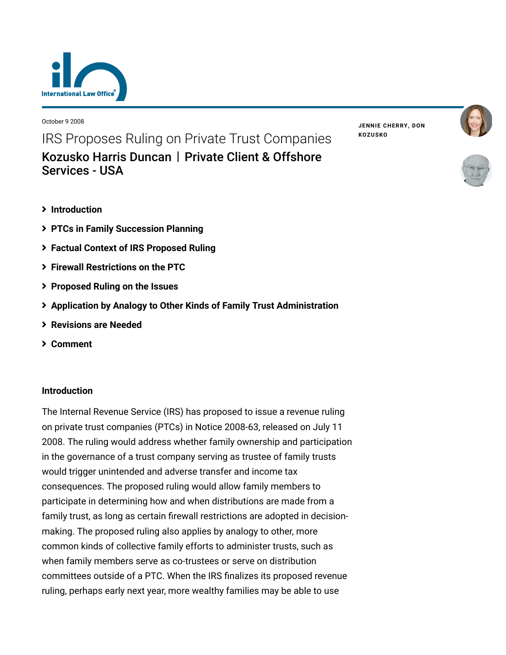

October 9 2008

IRS Proposes Ruling on Private Trust Companies [Kozusko Harris Duncan](https://www.lexology.com/contributors/23364) | Private Client & Offshore Services - USA

- **[Introduction](#page-0-0)**
- **[PTCs in Family Succession Planning](#page-1-0)**
- **[Factual Context of IRS Proposed Ruling](#page-2-0)**
- **[Firewall Restrictions on the PTC](#page-3-0)**
- **[Proposed Ruling on the Issues](#page-4-0)**
- **[Application by Analogy to Other Kinds of Family Trust Administration](#page-5-0)**
- **[Revisions are Needed](#page-6-0)**
- **[Comment](#page-7-0)**

### <span id="page-0-0"></span>**Introduction**

The Internal Revenue Service (IRS) has proposed to issue a revenue ruling on private trust companies (PTCs) in Notice 2008-63, released on July 11 2008. The ruling would address whether family ownership and participation in the governance of a trust company serving as trustee of family trusts would trigger unintended and adverse transfer and income tax consequences. The proposed ruling would allow family members to participate in determining how and when distributions are made from a family trust, as long as certain firewall restrictions are adopted in decisionmaking. The proposed ruling also applies by analogy to other, more common kinds of collective family efforts to administer trusts, such as when family members serve as co-trustees or serve on distribution committees outside of a PTC. When the IRS finalizes its proposed revenue ruling, perhaps early next year, more wealthy families may be able to use

**JENNIE [CHERRY,](https://www.lexology.com/23364/author/Jennie_Cherry/) DON [KOZUSKO](https://www.lexology.com/23364/author/Don_Kozusko/)**



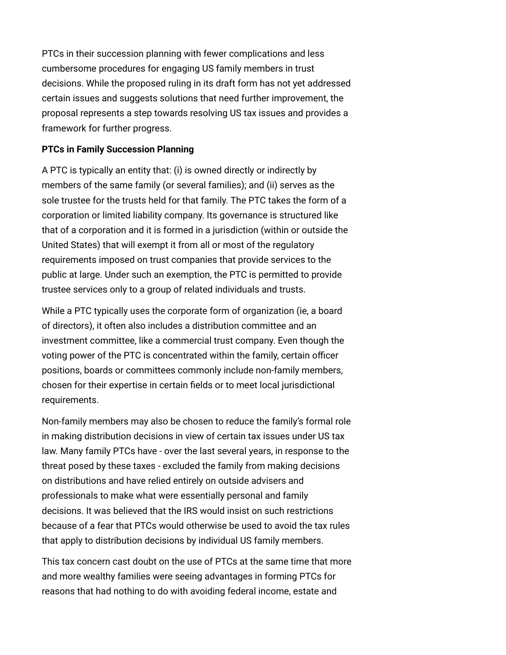PTCs in their succession planning with fewer complications and less cumbersome procedures for engaging US family members in trust decisions. While the proposed ruling in its draft form has not yet addressed certain issues and suggests solutions that need further improvement, the proposal represents a step towards resolving US tax issues and provides a framework for further progress.

### <span id="page-1-0"></span>**PTCs in Family Succession Planning**

A PTC is typically an entity that: (i) is owned directly or indirectly by members of the same family (or several families); and (ii) serves as the sole trustee for the trusts held for that family. The PTC takes the form of a corporation or limited liability company. Its governance is structured like that of a corporation and it is formed in a jurisdiction (within or outside the United States) that will exempt it from all or most of the regulatory requirements imposed on trust companies that provide services to the public at large. Under such an exemption, the PTC is permitted to provide trustee services only to a group of related individuals and trusts.

While a PTC typically uses the corporate form of organization (ie, a board of directors), it often also includes a distribution committee and an investment committee, like a commercial trust company. Even though the voting power of the PTC is concentrated within the family, certain officer positions, boards or committees commonly include non-family members, chosen for their expertise in certain fields or to meet local jurisdictional requirements.

Non-family members may also be chosen to reduce the family's formal role in making distribution decisions in view of certain tax issues under US tax law. Many family PTCs have - over the last several years, in response to the threat posed by these taxes - excluded the family from making decisions on distributions and have relied entirely on outside advisers and professionals to make what were essentially personal and family decisions. It was believed that the IRS would insist on such restrictions because of a fear that PTCs would otherwise be used to avoid the tax rules that apply to distribution decisions by individual US family members.

This tax concern cast doubt on the use of PTCs at the same time that more and more wealthy families were seeing advantages in forming PTCs for reasons that had nothing to do with avoiding federal income, estate and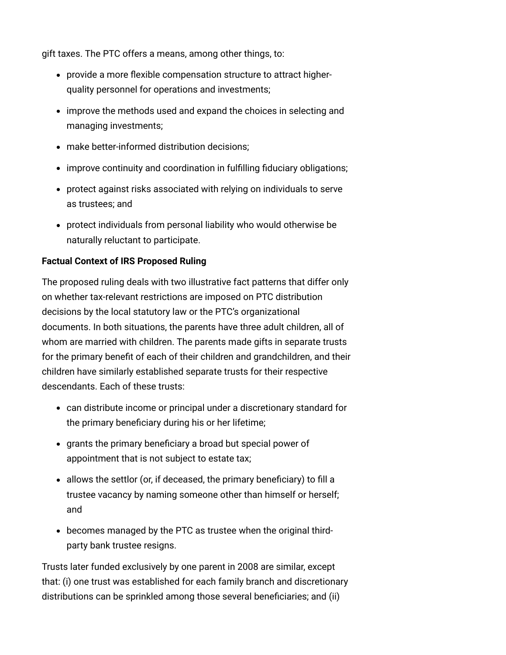gift taxes. The PTC offers a means, among other things, to:

- provide a more flexible compensation structure to attract higherquality personnel for operations and investments;
- improve the methods used and expand the choices in selecting and managing investments;
- make better-informed distribution decisions;
- improve continuity and coordination in fulfilling fiduciary obligations;
- protect against risks associated with relying on individuals to serve as trustees; and
- protect individuals from personal liability who would otherwise be naturally reluctant to participate.

# <span id="page-2-0"></span>**Factual Context of IRS Proposed Ruling**

The proposed ruling deals with two illustrative fact patterns that differ only on whether tax-relevant restrictions are imposed on PTC distribution decisions by the local statutory law or the PTC's organizational documents. In both situations, the parents have three adult children, all of whom are married with children. The parents made gifts in separate trusts for the primary benefit of each of their children and grandchildren, and their children have similarly established separate trusts for their respective descendants. Each of these trusts:

- can distribute income or principal under a discretionary standard for the primary beneficiary during his or her lifetime;
- grants the primary beneficiary a broad but special power of appointment that is not subject to estate tax;
- allows the settlor (or, if deceased, the primary beneficiary) to fill a trustee vacancy by naming someone other than himself or herself; and
- becomes managed by the PTC as trustee when the original thirdparty bank trustee resigns.

Trusts later funded exclusively by one parent in 2008 are similar, except that: (i) one trust was established for each family branch and discretionary distributions can be sprinkled among those several beneficiaries; and (ii)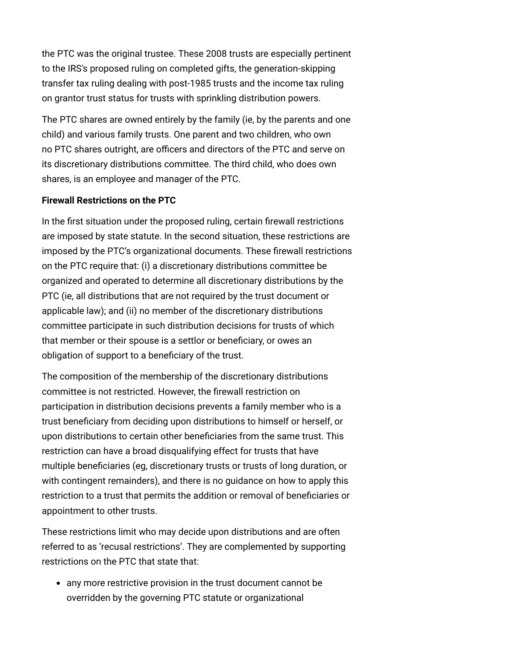the PTC was the original trustee. These 2008 trusts are especially pertinent to the IRS's proposed ruling on completed gifts, the generation-skipping transfer tax ruling dealing with post-1985 trusts and the income tax ruling on grantor trust status for trusts with sprinkling distribution powers.

The PTC shares are owned entirely by the family (ie, by the parents and one child) and various family trusts. One parent and two children, who own no PTC shares outright, are officers and directors of the PTC and serve on its discretionary distributions committee. The third child, who does own shares, is an employee and manager of the PTC.

## <span id="page-3-0"></span>**Firewall Restrictions on the PTC**

In the first situation under the proposed ruling, certain firewall restrictions are imposed by state statute. In the second situation, these restrictions are imposed by the PTC's organizational documents. These firewall restrictions on the PTC require that: (i) a discretionary distributions committee be organized and operated to determine all discretionary distributions by the PTC (ie, all distributions that are not required by the trust document or applicable law); and (ii) no member of the discretionary distributions committee participate in such distribution decisions for trusts of which that member or their spouse is a settlor or beneficiary, or owes an obligation of support to a beneficiary of the trust.

The composition of the membership of the discretionary distributions committee is not restricted. However, the firewall restriction on participation in distribution decisions prevents a family member who is a trust beneficiary from deciding upon distributions to himself or herself, or upon distributions to certain other beneficiaries from the same trust. This restriction can have a broad disqualifying effect for trusts that have multiple beneficiaries (eg, discretionary trusts or trusts of long duration, or with contingent remainders), and there is no guidance on how to apply this restriction to a trust that permits the addition or removal of beneficiaries or appointment to other trusts.

These restrictions limit who may decide upon distributions and are often referred to as 'recusal restrictions'. They are complemented by supporting restrictions on the PTC that state that:

any more restrictive provision in the trust document cannot be overridden by the governing PTC statute or organizational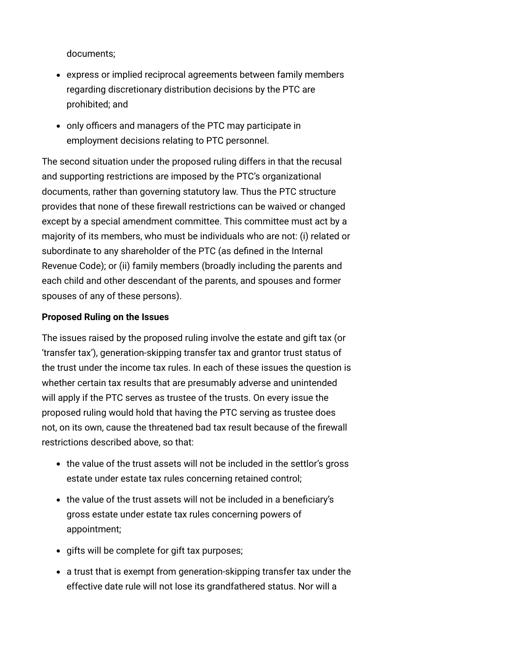documents;

- express or implied reciprocal agreements between family members regarding discretionary distribution decisions by the PTC are prohibited; and
- only officers and managers of the PTC may participate in employment decisions relating to PTC personnel.

The second situation under the proposed ruling differs in that the recusal and supporting restrictions are imposed by the PTC's organizational documents, rather than governing statutory law. Thus the PTC structure provides that none of these firewall restrictions can be waived or changed except by a special amendment committee. This committee must act by a majority of its members, who must be individuals who are not: (i) related or subordinate to any shareholder of the PTC (as defined in the Internal Revenue Code); or (ii) family members (broadly including the parents and each child and other descendant of the parents, and spouses and former spouses of any of these persons).

### <span id="page-4-0"></span>**Proposed Ruling on the Issues**

The issues raised by the proposed ruling involve the estate and gift tax (or 'transfer tax'), generation-skipping transfer tax and grantor trust status of the trust under the income tax rules. In each of these issues the question is whether certain tax results that are presumably adverse and unintended will apply if the PTC serves as trustee of the trusts. On every issue the proposed ruling would hold that having the PTC serving as trustee does not, on its own, cause the threatened bad tax result because of the firewall restrictions described above, so that:

- the value of the trust assets will not be included in the settlor's gross estate under estate tax rules concerning retained control;
- the value of the trust assets will not be included in a beneficiary's gross estate under estate tax rules concerning powers of appointment;
- gifts will be complete for gift tax purposes;
- a trust that is exempt from generation-skipping transfer tax under the effective date rule will not lose its grandfathered status. Nor will a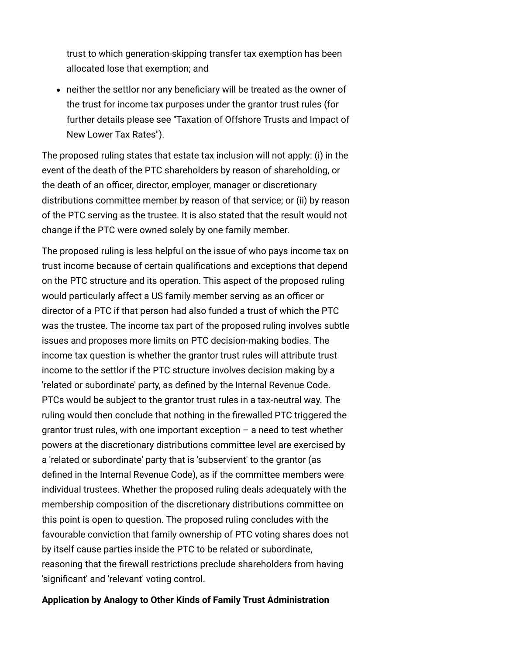trust to which generation-skipping transfer tax exemption has been allocated lose that exemption; and

neither the settlor nor any beneficiary will be treated as the owner of the trust for income tax purposes under the grantor trust rules (for [further details please see "Taxation of Offshore Trusts and Impact of](http://www.internationallawoffice.com/Newsletters/Detail.aspx?r=7017) New Lower Tax Rates").

The proposed ruling states that estate tax inclusion will not apply: (i) in the event of the death of the PTC shareholders by reason of shareholding, or the death of an officer, director, employer, manager or discretionary distributions committee member by reason of that service; or (ii) by reason of the PTC serving as the trustee. It is also stated that the result would not change if the PTC were owned solely by one family member.

The proposed ruling is less helpful on the issue of who pays income tax on trust income because of certain qualifications and exceptions that depend on the PTC structure and its operation. This aspect of the proposed ruling would particularly affect a US family member serving as an officer or director of a PTC if that person had also funded a trust of which the PTC was the trustee. The income tax part of the proposed ruling involves subtle issues and proposes more limits on PTC decision-making bodies. The income tax question is whether the grantor trust rules will attribute trust income to the settlor if the PTC structure involves decision making by a 'related or subordinate' party, as defined by the Internal Revenue Code. PTCs would be subject to the grantor trust rules in a tax-neutral way. The ruling would then conclude that nothing in the firewalled PTC triggered the grantor trust rules, with one important exception – a need to test whether powers at the discretionary distributions committee level are exercised by a 'related or subordinate' party that is 'subservient' to the grantor (as defined in the Internal Revenue Code), as if the committee members were individual trustees. Whether the proposed ruling deals adequately with the membership composition of the discretionary distributions committee on this point is open to question. The proposed ruling concludes with the favourable conviction that family ownership of PTC voting shares does not by itself cause parties inside the PTC to be related or subordinate, reasoning that the firewall restrictions preclude shareholders from having 'significant' and 'relevant' voting control.

#### <span id="page-5-0"></span>**Application by Analogy to Other Kinds of Family Trust Administration**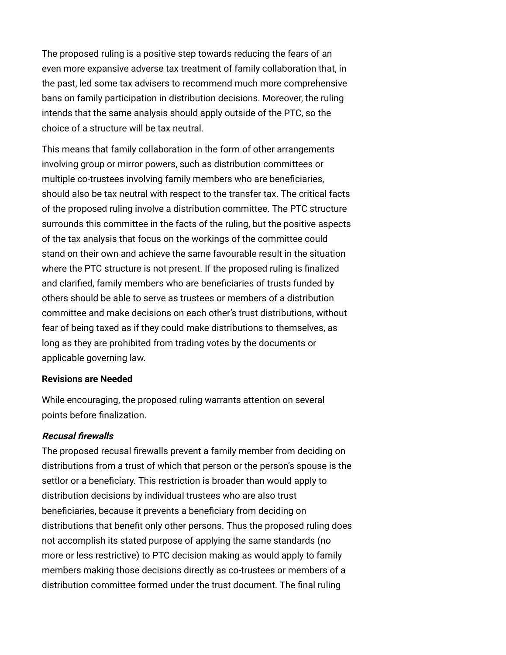The proposed ruling is a positive step towards reducing the fears of an even more expansive adverse tax treatment of family collaboration that, in the past, led some tax advisers to recommend much more comprehensive bans on family participation in distribution decisions. Moreover, the ruling intends that the same analysis should apply outside of the PTC, so the choice of a structure will be tax neutral.

This means that family collaboration in the form of other arrangements involving group or mirror powers, such as distribution committees or multiple co-trustees involving family members who are beneficiaries, should also be tax neutral with respect to the transfer tax. The critical facts of the proposed ruling involve a distribution committee. The PTC structure surrounds this committee in the facts of the ruling, but the positive aspects of the tax analysis that focus on the workings of the committee could stand on their own and achieve the same favourable result in the situation where the PTC structure is not present. If the proposed ruling is finalized and clarified, family members who are beneficiaries of trusts funded by others should be able to serve as trustees or members of a distribution committee and make decisions on each other's trust distributions, without fear of being taxed as if they could make distributions to themselves, as long as they are prohibited from trading votes by the documents or applicable governing law.

### <span id="page-6-0"></span>**Revisions are Needed**

While encouraging, the proposed ruling warrants attention on several points before finalization.

## **Recusal firewalls**

The proposed recusal firewalls prevent a family member from deciding on distributions from a trust of which that person or the person's spouse is the settlor or a beneficiary. This restriction is broader than would apply to distribution decisions by individual trustees who are also trust beneficiaries, because it prevents a beneficiary from deciding on distributions that benefit only other persons. Thus the proposed ruling does not accomplish its stated purpose of applying the same standards (no more or less restrictive) to PTC decision making as would apply to family members making those decisions directly as co-trustees or members of a distribution committee formed under the trust document. The final ruling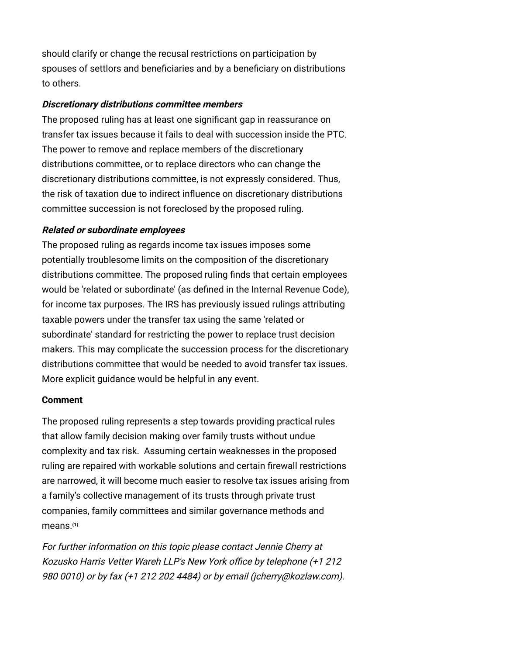should clarify or change the recusal restrictions on participation by spouses of settlors and beneficiaries and by a beneficiary on distributions to others.

### **Discretionary distributions committee members**

The proposed ruling has at least one significant gap in reassurance on transfer tax issues because it fails to deal with succession inside the PTC. The power to remove and replace members of the discretionary distributions committee, or to replace directors who can change the discretionary distributions committee, is not expressly considered. Thus, the risk of taxation due to indirect influence on discretionary distributions committee succession is not foreclosed by the proposed ruling.

### **Related or subordinate employees**

The proposed ruling as regards income tax issues imposes some potentially troublesome limits on the composition of the discretionary distributions committee. The proposed ruling finds that certain employees would be 'related or subordinate' (as defined in the Internal Revenue Code), for income tax purposes. The IRS has previously issued rulings attributing taxable powers under the transfer tax using the same 'related or subordinate' standard for restricting the power to replace trust decision makers. This may complicate the succession process for the discretionary distributions committee that would be needed to avoid transfer tax issues. More explicit guidance would be helpful in any event.

### <span id="page-7-0"></span>**Comment**

The proposed ruling represents a step towards providing practical rules that allow family decision making over family trusts without undue complexity and tax risk. Assuming certain weaknesses in the proposed ruling are repaired with workable solutions and certain firewall restrictions are narrowed, it will become much easier to resolve tax issues arising from a family's collective management of its trusts through private trust companies, family committees and similar governance methods and means.**[\(1\)](#page-8-0)**

For further information on this topic please contact [Jennie Cherry](http://www.internationallawoffice.com/Directory/Biography.aspx?r=36050) at Kozusko Harris Vetter Wareh LLP's New York office by telephone (+1 212 980 0010) or by fax (+1 212 202 4484) or by email [\(jcherry@kozlaw.com\)](mailto:jcherry@kozlaw.com?subject=Article%20on%20ILO).